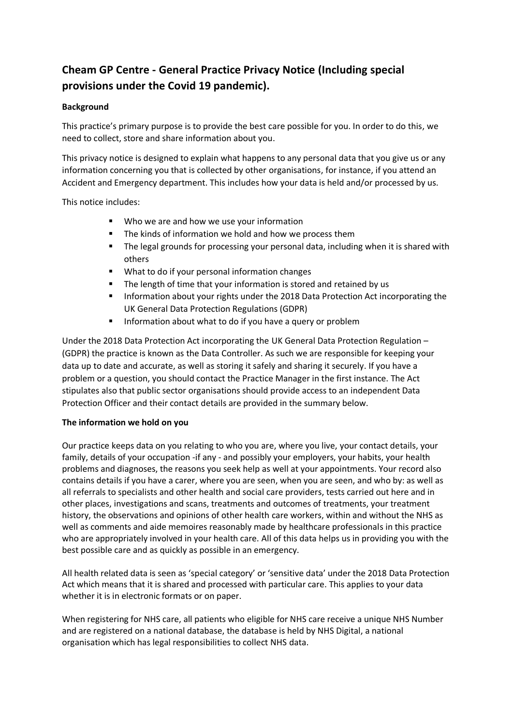# **Cheam GP Centre - General Practice Privacy Notice (Including special provisions under the Covid 19 pandemic).**

## **Background**

This practice's primary purpose is to provide the best care possible for you. In order to do this, we need to collect, store and share information about you.

This privacy notice is designed to explain what happens to any personal data that you give us or any information concerning you that is collected by other organisations, for instance, if you attend an Accident and Emergency department. This includes how your data is held and/or processed by us.

This notice includes:

- Who we are and how we use your information
- The kinds of information we hold and how we process them
- The legal grounds for processing your personal data, including when it is shared with others
- What to do if your personal information changes
- The length of time that your information is stored and retained by us
- Information about your rights under the 2018 Data Protection Act incorporating the UK General Data Protection Regulations (GDPR)
- Information about what to do if you have a query or problem

Under the 2018 Data Protection Act incorporating the UK General Data Protection Regulation – (GDPR) the practice is known as the Data Controller. As such we are responsible for keeping your data up to date and accurate, as well as storing it safely and sharing it securely. If you have a problem or a question, you should contact the Practice Manager in the first instance. The Act stipulates also that public sector organisations should provide access to an independent Data Protection Officer and their contact details are provided in the summary below.

## **The information we hold on you**

Our practice keeps data on you relating to who you are, where you live, your contact details, your family, details of your occupation -if any - and possibly your employers, your habits, your health problems and diagnoses, the reasons you seek help as well at your appointments. Your record also contains details if you have a carer, where you are seen, when you are seen, and who by: as well as all referrals to specialists and other health and social care providers, tests carried out here and in other places, investigations and scans, treatments and outcomes of treatments, your treatment history, the observations and opinions of other health care workers, within and without the NHS as well as comments and aide memoires reasonably made by healthcare professionals in this practice who are appropriately involved in your health care. All of this data helps us in providing you with the best possible care and as quickly as possible in an emergency.

All health related data is seen as 'special category' or 'sensitive data' under the 2018 Data Protection Act which means that it is shared and processed with particular care. This applies to your data whether it is in electronic formats or on paper.

When registering for NHS care, all patients who eligible for NHS care receive a unique NHS Number and are registered on a national database, the database is held by NHS Digital, a national organisation which has legal responsibilities to collect NHS data.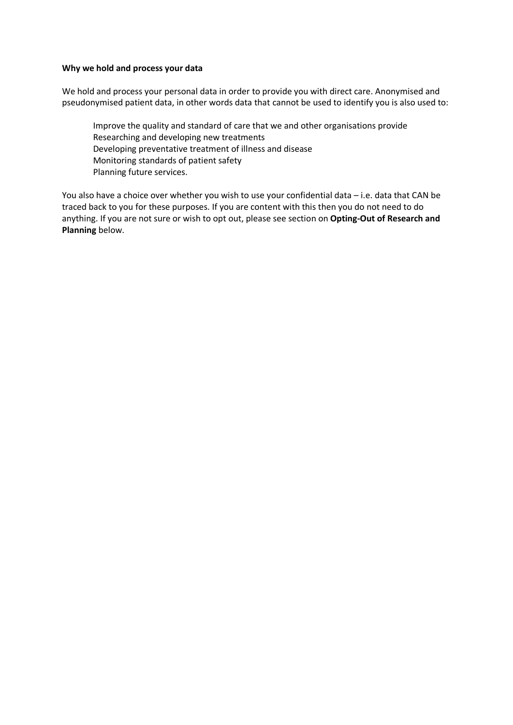#### **Why we hold and process your data**

We hold and process your personal data in order to provide you with direct care. Anonymised and pseudonymised patient data, in other words data that cannot be used to identify you is also used to:

Improve the quality and standard of care that we and other organisations provide Researching and developing new treatments Developing preventative treatment of illness and disease Monitoring standards of patient safety Planning future services.

You also have a choice over whether you wish to use your confidential data – i.e. data that CAN be traced back to you for these purposes. If you are content with this then you do not need to do anything. If you are not sure or wish to opt out, please see section on **Opting-Out of Research and Planning** below.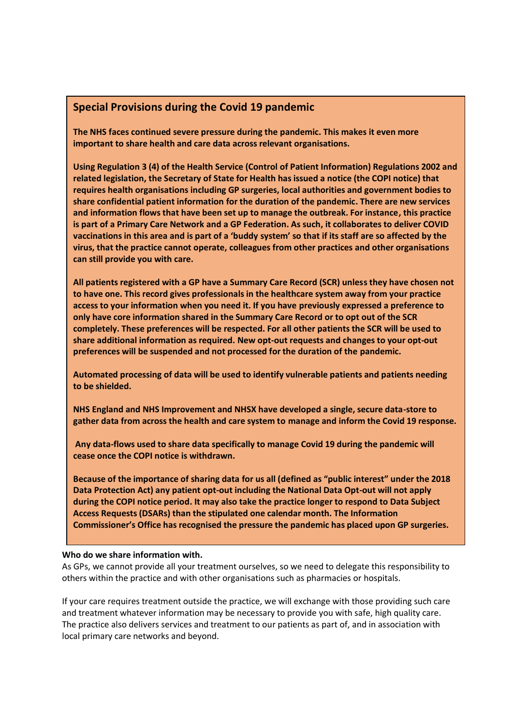# **Special Provisions during the Covid 19 pandemic**

**The NHS faces continued severe pressure during the pandemic. This makes it even more important to share health and care data across relevant organisations.** 

**Using Regulation 3 (4) of the Health Service (Control of Patient Information) Regulations 2002 and related legislation, the Secretary of State for Health has issued a notice (the COPI notice) that requires health organisations including GP surgeries, local authorities and government bodies to share confidential patient information for the duration of the pandemic. There are new services and information flows that have been set up to manage the outbreak. For instance, this practice is part of a Primary Care Network and a GP Federation. As such, it collaborates to deliver COVID vaccinations in this area and is part of a 'buddy system' so that if its staff are so affected by the virus, that the practice cannot operate, colleagues from other practices and other organisations can still provide you with care.** 

**All patients registered with a GP have a Summary Care Record (SCR) unless they have chosen not to have one. This record gives professionals in the healthcare system away from your practice access to your information when you need it. If you have previously expressed a preference to only have core information shared in the Summary Care Record or to opt out of the SCR completely. These preferences will be respected. For all other patients the SCR will be used to share additional information as required. New opt-out requests and changes to your opt-out preferences will be suspended and not processed for the duration of the pandemic.** 

**Automated processing of data will be used to identify vulnerable patients and patients needing to be shielded.**

**NHS England and NHS Improvement and NHSX have developed a single, secure data-store to gather data from across the health and care system to manage and inform the Covid 19 response.** 

**Any data-flows used to share data specifically to manage Covid 19 during the pandemic will cease once the COPI notice is withdrawn.** 

**Because of the importance of sharing data for us all (defined as "public interest" under the 2018 Data Protection Act) any patient opt-out including the National Data Opt-out will not apply during the COPI notice period. It may also take the practice longer to respond to Data Subject Access Requests (DSARs) than the stipulated one calendar month. The Information Commissioner's Office has recognised the pressure the pandemic has placed upon GP surgeries.** 

#### **Who do we share information with.**

As GPs, we cannot provide all your treatment ourselves, so we need to delegate this responsibility to others within the practice and with other organisations such as pharmacies or hospitals.

If your care requires treatment outside the practice, we will exchange with those providing such care and treatment whatever information may be necessary to provide you with safe, high quality care. The practice also delivers services and treatment to our patients as part of, and in association with local primary care networks and beyond.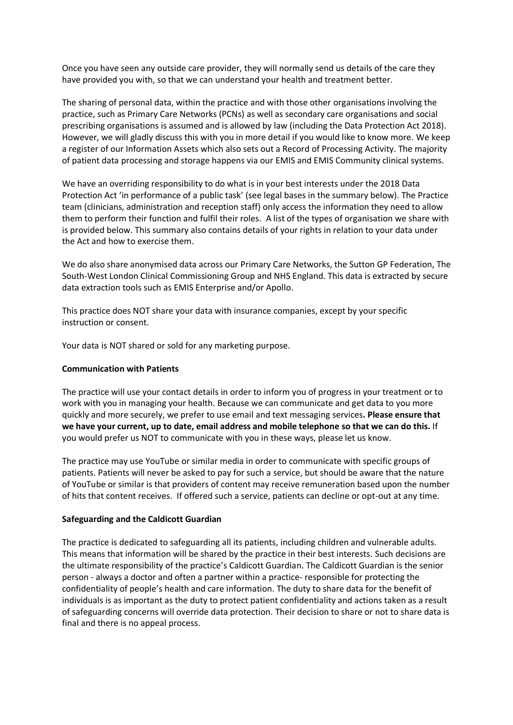Once you have seen any outside care provider, they will normally send us details of the care they have provided you with, so that we can understand your health and treatment better.

The sharing of personal data, within the practice and with those other organisations involving the practice, such as Primary Care Networks (PCNs) as well as secondary care organisations and social prescribing organisations is assumed and is allowed by law (including the Data Protection Act 2018). However, we will gladly discuss this with you in more detail if you would like to know more. We keep a register of our Information Assets which also sets out a Record of Processing Activity. The majority of patient data processing and storage happens via our EMIS and EMIS Community clinical systems.

We have an overriding responsibility to do what is in your best interests under the 2018 Data Protection Act 'in performance of a public task' (see legal bases in the summary below). The Practice team (clinicians, administration and reception staff) only access the information they need to allow them to perform their function and fulfil their roles. A list of the types of organisation we share with is provided below. This summary also contains details of your rights in relation to your data under the Act and how to exercise them.

We do also share anonymised data across our Primary Care Networks, the Sutton GP Federation, The South-West London Clinical Commissioning Group and NHS England. This data is extracted by secure data extraction tools such as EMIS Enterprise and/or Apollo.

This practice does NOT share your data with insurance companies, except by your specific instruction or consent.

Your data is NOT shared or sold for any marketing purpose.

#### **Communication with Patients**

The practice will use your contact details in order to inform you of progress in your treatment or to work with you in managing your health. Because we can communicate and get data to you more quickly and more securely, we prefer to use email and text messaging services**. Please ensure that we have your current, up to date, email address and mobile telephone so that we can do this.** If you would prefer us NOT to communicate with you in these ways, please let us know.

The practice may use YouTube or similar media in order to communicate with specific groups of patients. Patients will never be asked to pay for such a service, but should be aware that the nature of YouTube or similar is that providers of content may receive remuneration based upon the number of hits that content receives. If offered such a service, patients can decline or opt-out at any time.

#### **Safeguarding and the Caldicott Guardian**

The practice is dedicated to safeguarding all its patients, including children and vulnerable adults. This means that information will be shared by the practice in their best interests. Such decisions are the ultimate responsibility of the practice's Caldicott Guardian. The Caldicott Guardian is the senior person - always a doctor and often a partner within a practice- responsible for protecting the confidentiality of people's health and care information. The duty to share data for the benefit of individuals is as important as the duty to protect patient confidentiality and actions taken as a result of safeguarding concerns will override data protection. Their decision to share or not to share data is final and there is no appeal process.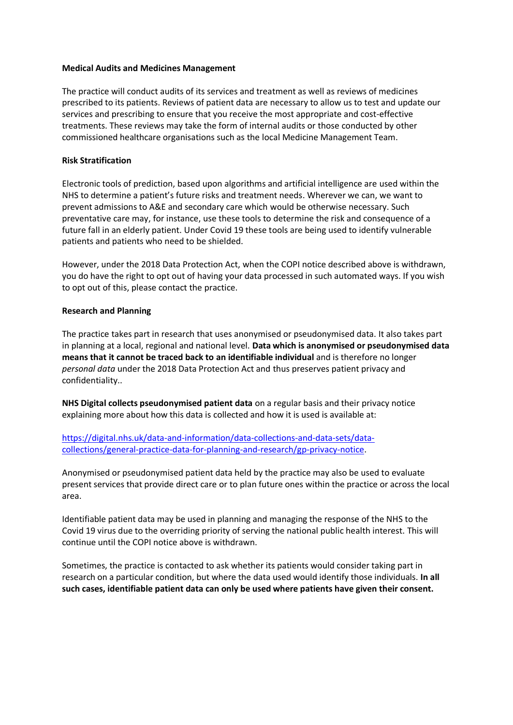#### **Medical Audits and Medicines Management**

The practice will conduct audits of its services and treatment as well as reviews of medicines prescribed to its patients. Reviews of patient data are necessary to allow us to test and update our services and prescribing to ensure that you receive the most appropriate and cost-effective treatments. These reviews may take the form of internal audits or those conducted by other commissioned healthcare organisations such as the local Medicine Management Team.

#### **Risk Stratification**

Electronic tools of prediction, based upon algorithms and artificial intelligence are used within the NHS to determine a patient's future risks and treatment needs. Wherever we can, we want to prevent admissions to A&E and secondary care which would be otherwise necessary. Such preventative care may, for instance, use these tools to determine the risk and consequence of a future fall in an elderly patient. Under Covid 19 these tools are being used to identify vulnerable patients and patients who need to be shielded.

However, under the 2018 Data Protection Act, when the COPI notice described above is withdrawn, you do have the right to opt out of having your data processed in such automated ways. If you wish to opt out of this, please contact the practice.

#### **Research and Planning**

The practice takes part in research that uses anonymised or pseudonymised data. It also takes part in planning at a local, regional and national level. **Data which is anonymised or pseudonymised data means that it cannot be traced back to an identifiable individual** and is therefore no longer *personal data* under the 2018 Data Protection Act and thus preserves patient privacy and confidentiality..

**NHS Digital collects pseudonymised patient data** on a regular basis and their privacy notice explaining more about how this data is collected and how it is used is available at:

[https://digital.nhs.uk/data-and-information/data-collections-and-data-sets/data](https://digital.nhs.uk/data-and-information/data-collections-and-data-sets/data-collections/general-practice-data-for-planning-and-research/gp-privacy-notice)[collections/general-practice-data-for-planning-and-research/gp-privacy-notice.](https://digital.nhs.uk/data-and-information/data-collections-and-data-sets/data-collections/general-practice-data-for-planning-and-research/gp-privacy-notice)

Anonymised or pseudonymised patient data held by the practice may also be used to evaluate present services that provide direct care or to plan future ones within the practice or across the local area.

Identifiable patient data may be used in planning and managing the response of the NHS to the Covid 19 virus due to the overriding priority of serving the national public health interest. This will continue until the COPI notice above is withdrawn.

Sometimes, the practice is contacted to ask whether its patients would consider taking part in research on a particular condition, but where the data used would identify those individuals. **In all such cases, identifiable patient data can only be used where patients have given their consent.**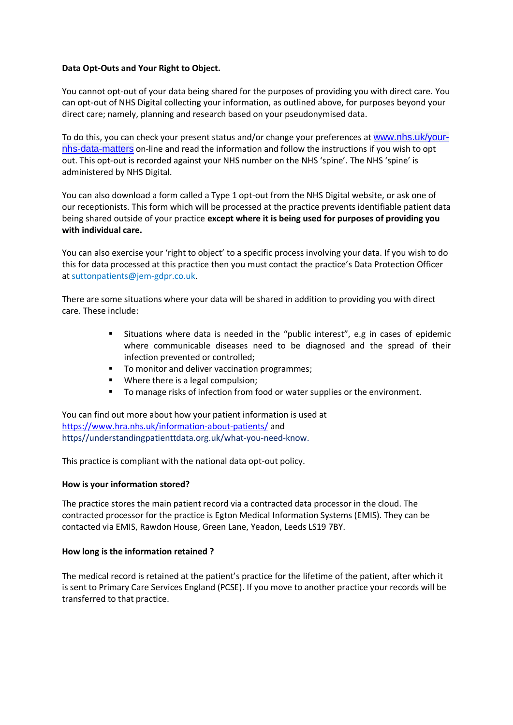#### **Data Opt-Outs and Your Right to Object.**

You cannot opt-out of your data being shared for the purposes of providing you with direct care. You can opt-out of NHS Digital collecting your information, as outlined above, for purposes beyond your direct care; namely, planning and research based on your pseudonymised data.

To do this, you can check your present status and/or change your preferences at [www.nhs.uk/your](http://www.nhs.uk/your-nhs-data-matters)[nhs-data-matters](http://www.nhs.uk/your-nhs-data-matters) on-line and read the information and follow the instructions if you wish to opt out. This opt-out is recorded against your NHS number on the NHS 'spine'. The NHS 'spine' is administered by NHS Digital.

You can also download a form called a Type 1 opt-out from the NHS Digital website, or ask one of our receptionists. This form which will be processed at the practice prevents identifiable patient data being shared outside of your practice **except where it is being used for purposes of providing you with individual care.**

You can also exercise your 'right to object' to a specific process involving your data. If you wish to do this for data processed at this practice then you must contact the practice's Data Protection Officer at suttonpatients@jem-gdpr.co.uk.

There are some situations where your data will be shared in addition to providing you with direct care. These include:

- Situations where data is needed in the "public interest", e.g in cases of epidemic where communicable diseases need to be diagnosed and the spread of their infection prevented or controlled;
- To monitor and deliver vaccination programmes;
- Where there is a legal compulsion;
- To manage risks of infection from food or water supplies or the environment.

You can find out more about how your patient information is used at <https://www.hra.nhs.uk/information-about-patients/> and https//understandingpatienttdata.org.uk/what-you-need-know.

This practice is compliant with the national data opt-out policy.

#### **How is your information stored?**

The practice stores the main patient record via a contracted data processor in the cloud. The contracted processor for the practice is Egton Medical Information Systems (EMIS). They can be contacted via EMIS, Rawdon House, Green Lane, Yeadon, Leeds LS19 7BY.

#### **How long is the information retained ?**

The medical record is retained at the patient's practice for the lifetime of the patient, after which it is sent to Primary Care Services England (PCSE). If you move to another practice your records will be transferred to that practice.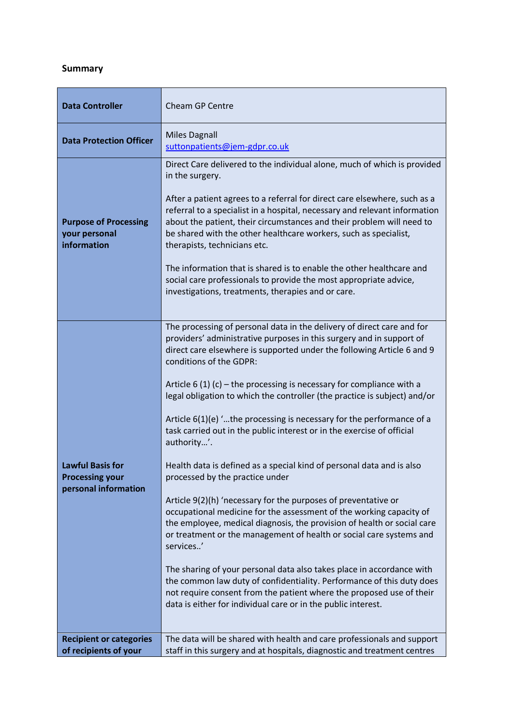# **Summary**

| <b>Data Controller</b>                                                    | <b>Cheam GP Centre</b>                                                                                                                                                                                                                                                                                                                                                                                                                                                                                                                                                                                                                                                                                                                                                                                                                                                                                                                                                                                                                                                                                                                                                                                                                                                                      |
|---------------------------------------------------------------------------|---------------------------------------------------------------------------------------------------------------------------------------------------------------------------------------------------------------------------------------------------------------------------------------------------------------------------------------------------------------------------------------------------------------------------------------------------------------------------------------------------------------------------------------------------------------------------------------------------------------------------------------------------------------------------------------------------------------------------------------------------------------------------------------------------------------------------------------------------------------------------------------------------------------------------------------------------------------------------------------------------------------------------------------------------------------------------------------------------------------------------------------------------------------------------------------------------------------------------------------------------------------------------------------------|
| <b>Data Protection Officer</b>                                            | <b>Miles Dagnall</b><br>suttonpatients@jem-gdpr.co.uk                                                                                                                                                                                                                                                                                                                                                                                                                                                                                                                                                                                                                                                                                                                                                                                                                                                                                                                                                                                                                                                                                                                                                                                                                                       |
| <b>Purpose of Processing</b><br>your personal<br>information              | Direct Care delivered to the individual alone, much of which is provided<br>in the surgery.<br>After a patient agrees to a referral for direct care elsewhere, such as a<br>referral to a specialist in a hospital, necessary and relevant information<br>about the patient, their circumstances and their problem will need to<br>be shared with the other healthcare workers, such as specialist,<br>therapists, technicians etc.<br>The information that is shared is to enable the other healthcare and<br>social care professionals to provide the most appropriate advice,<br>investigations, treatments, therapies and or care.                                                                                                                                                                                                                                                                                                                                                                                                                                                                                                                                                                                                                                                      |
| <b>Lawful Basis for</b><br><b>Processing your</b><br>personal information | The processing of personal data in the delivery of direct care and for<br>providers' administrative purposes in this surgery and in support of<br>direct care elsewhere is supported under the following Article 6 and 9<br>conditions of the GDPR:<br>Article $6(1)(c)$ – the processing is necessary for compliance with a<br>legal obligation to which the controller (the practice is subject) and/or<br>Article $6(1)(e)$ the processing is necessary for the performance of a<br>task carried out in the public interest or in the exercise of official<br>authority'.<br>Health data is defined as a special kind of personal data and is also<br>processed by the practice under<br>Article 9(2)(h) 'necessary for the purposes of preventative or<br>occupational medicine for the assessment of the working capacity of<br>the employee, medical diagnosis, the provision of health or social care<br>or treatment or the management of health or social care systems and<br>services'<br>The sharing of your personal data also takes place in accordance with<br>the common law duty of confidentiality. Performance of this duty does<br>not require consent from the patient where the proposed use of their<br>data is either for individual care or in the public interest. |
| <b>Recipient or categories</b><br>of recipients of your                   | The data will be shared with health and care professionals and support<br>staff in this surgery and at hospitals, diagnostic and treatment centres                                                                                                                                                                                                                                                                                                                                                                                                                                                                                                                                                                                                                                                                                                                                                                                                                                                                                                                                                                                                                                                                                                                                          |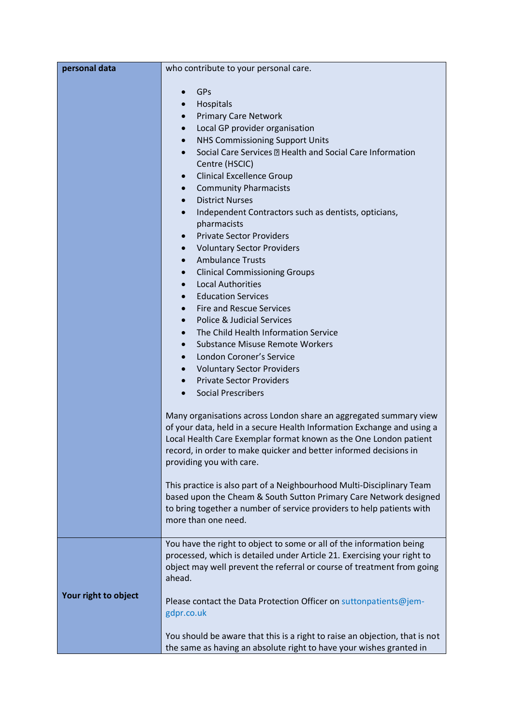| personal data        | who contribute to your personal care.                                                                                                      |
|----------------------|--------------------------------------------------------------------------------------------------------------------------------------------|
|                      | GPs                                                                                                                                        |
|                      | Hospitals<br>$\bullet$                                                                                                                     |
|                      | <b>Primary Care Network</b><br>$\bullet$                                                                                                   |
|                      | Local GP provider organisation<br>$\bullet$                                                                                                |
|                      | <b>NHS Commissioning Support Units</b><br>$\bullet$                                                                                        |
|                      | Social Care Services <b>D</b> Health and Social Care Information<br>$\bullet$                                                              |
|                      | Centre (HSCIC)                                                                                                                             |
|                      | <b>Clinical Excellence Group</b><br>$\bullet$                                                                                              |
|                      | <b>Community Pharmacists</b><br>$\bullet$                                                                                                  |
|                      | <b>District Nurses</b><br>$\bullet$                                                                                                        |
|                      | Independent Contractors such as dentists, opticians,                                                                                       |
|                      | pharmacists                                                                                                                                |
|                      | <b>Private Sector Providers</b><br>$\bullet$                                                                                               |
|                      | <b>Voluntary Sector Providers</b><br>$\bullet$                                                                                             |
|                      | <b>Ambulance Trusts</b><br>$\bullet$                                                                                                       |
|                      | <b>Clinical Commissioning Groups</b><br>$\bullet$                                                                                          |
|                      | <b>Local Authorities</b><br>$\bullet$                                                                                                      |
|                      | <b>Education Services</b><br>$\bullet$                                                                                                     |
|                      | <b>Fire and Rescue Services</b><br>$\bullet$                                                                                               |
|                      | Police & Judicial Services<br>$\bullet$<br>The Child Health Information Service                                                            |
|                      | $\bullet$<br><b>Substance Misuse Remote Workers</b><br>$\bullet$                                                                           |
|                      | London Coroner's Service<br>$\bullet$                                                                                                      |
|                      | <b>Voluntary Sector Providers</b><br>$\bullet$                                                                                             |
|                      | <b>Private Sector Providers</b><br>$\bullet$                                                                                               |
|                      | <b>Social Prescribers</b>                                                                                                                  |
|                      |                                                                                                                                            |
|                      | Many organisations across London share an aggregated summary view                                                                          |
|                      | of your data, held in a secure Health Information Exchange and using a                                                                     |
|                      | Local Health Care Exemplar format known as the One London patient                                                                          |
|                      | record, in order to make quicker and better informed decisions in                                                                          |
|                      | providing you with care.                                                                                                                   |
|                      |                                                                                                                                            |
|                      | This practice is also part of a Neighbourhood Multi-Disciplinary Team<br>based upon the Cheam & South Sutton Primary Care Network designed |
|                      | to bring together a number of service providers to help patients with                                                                      |
|                      | more than one need.                                                                                                                        |
|                      |                                                                                                                                            |
|                      | You have the right to object to some or all of the information being                                                                       |
|                      | processed, which is detailed under Article 21. Exercising your right to                                                                    |
|                      | object may well prevent the referral or course of treatment from going                                                                     |
|                      | ahead.                                                                                                                                     |
| Your right to object |                                                                                                                                            |
|                      | Please contact the Data Protection Officer on suttonpatients@jem-<br>gdpr.co.uk                                                            |
|                      |                                                                                                                                            |
|                      | You should be aware that this is a right to raise an objection, that is not                                                                |
|                      | the same as having an absolute right to have your wishes granted in                                                                        |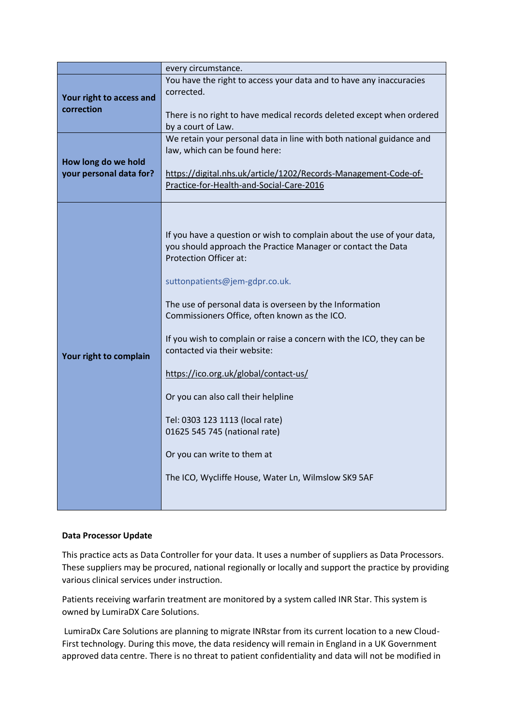|                                                | every circumstance.                                                                                                                                                     |
|------------------------------------------------|-------------------------------------------------------------------------------------------------------------------------------------------------------------------------|
| Your right to access and<br>correction         | You have the right to access your data and to have any inaccuracies<br>corrected.                                                                                       |
|                                                | There is no right to have medical records deleted except when ordered<br>by a court of Law.                                                                             |
| How long do we hold<br>your personal data for? | We retain your personal data in line with both national guidance and<br>law, which can be found here:                                                                   |
|                                                | https://digital.nhs.uk/article/1202/Records-Management-Code-of-<br>Practice-for-Health-and-Social-Care-2016                                                             |
| Your right to complain                         |                                                                                                                                                                         |
|                                                | If you have a question or wish to complain about the use of your data,<br>you should approach the Practice Manager or contact the Data<br><b>Protection Officer at:</b> |
|                                                | suttonpatients@jem-gdpr.co.uk.                                                                                                                                          |
|                                                | The use of personal data is overseen by the Information<br>Commissioners Office, often known as the ICO.                                                                |
|                                                | If you wish to complain or raise a concern with the ICO, they can be<br>contacted via their website:                                                                    |
|                                                | https://ico.org.uk/global/contact-us/                                                                                                                                   |
|                                                | Or you can also call their helpline                                                                                                                                     |
|                                                | Tel: 0303 123 1113 (local rate)<br>01625 545 745 (national rate)                                                                                                        |
|                                                | Or you can write to them at                                                                                                                                             |
|                                                | The ICO, Wycliffe House, Water Ln, Wilmslow SK9 5AF                                                                                                                     |
|                                                |                                                                                                                                                                         |

## **Data Processor Update**

This practice acts as Data Controller for your data. It uses a number of suppliers as Data Processors. These suppliers may be procured, national regionally or locally and support the practice by providing various clinical services under instruction.

Patients receiving warfarin treatment are monitored by a system called INR Star. This system is owned by LumiraDX Care Solutions.

LumiraDx Care Solutions are planning to migrate INRstar from its current location to a new Cloud-First technology. During this move, the data residency will remain in England in a UK Government approved data centre. There is no threat to patient confidentiality and data will not be modified in